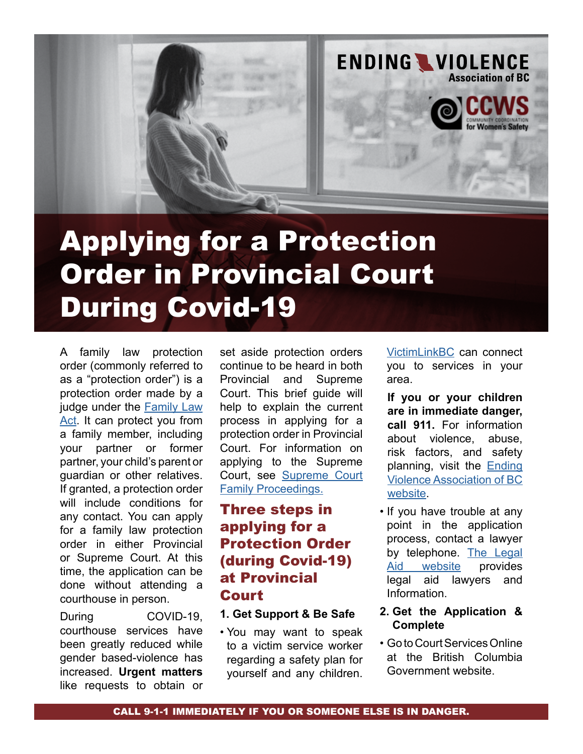

# Applying for a Protection Order in Provincial Court During Covid-19

A family law protection order (commonly referred to as a "protection order") is a protection order made by a judge under the [Family Law](http://www.bclaws.ca/civix/document/id/complete/statreg/11025_01)  [Act](http://www.bclaws.ca/civix/document/id/complete/statreg/11025_01). It can protect you from a family member, including your partner or former partner, your child's parent or guardian or other relatives. If granted, a protection order will include conditions for any contact. You can apply for a family law protection order in either Provincial or Supreme Court. At this time, the application can be done without attending a courthouse in person.

During COVID-19, courthouse services have been greatly reduced while gender based-violence has increased. **Urgent matters** like requests to obtain or set aside protection orders continue to be heard in both Provincial and Supreme Court. This brief guide will help to explain the current process in applying for a protection order in Provincial Court. For information on applying to the Supreme Court, see [Supreme Court](https://www.bccourts.ca/supreme_court/documents/Notice%20of%20Suspension%20of%20Civil%20and%20Family%20Proceedings%20-%20March%2018,%202020.pdf)  [Family Proceedings.](https://www.bccourts.ca/supreme_court/documents/Notice%20of%20Suspension%20of%20Civil%20and%20Family%20Proceedings%20-%20March%2018,%202020.pdf)

# Three steps in applying for a Protection Order (during Covid-19) at Provincial Court

#### **1. Get Support & Be Safe**

• You may want to speak to a victim service worker regarding a safety plan for yourself and any children.

[VictimLinkBC](https://www2.gov.bc.ca/gov/content/justice/criminal-justice/victims-of-crime/victimlinkbc) can connect you to services in your area.

**If you or your children are in immediate danger, call 911.** For information about violence, abuse, risk factors, and safety planning, visit the [Ending](https://endingviolence.org/)  [Violence Association of BC](https://endingviolence.org/) [website.](https://endingviolence.org/)

- If you have trouble at any point in the application process, contact a lawyer by telephone. [The Legal](https://familylaw.lss.bc.ca/coronavirus-updates)<br>Aid website provides website provides legal aid lawyers and Information.
- **2. Get the Application & Complete**
- Go to Court Services Online at the British Columbia Government website.